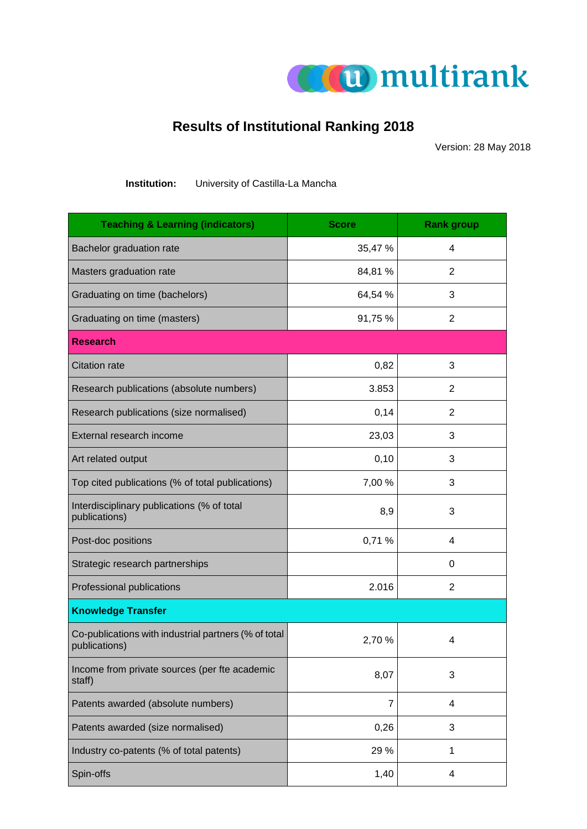

## **Results of Institutional Ranking 2018**

Version: 28 May 2018

| Institution: | University of Castilla-La Mancha |  |
|--------------|----------------------------------|--|
|              |                                  |  |

| <b>Teaching &amp; Learning (indicators)</b>                           | <b>Score</b> | <b>Rank group</b> |
|-----------------------------------------------------------------------|--------------|-------------------|
| Bachelor graduation rate                                              | 35,47 %      | 4                 |
| Masters graduation rate                                               | 84,81 %      | 2                 |
| Graduating on time (bachelors)                                        | 64,54 %      | 3                 |
| Graduating on time (masters)                                          | 91,75 %      | 2                 |
| <b>Research</b>                                                       |              |                   |
| <b>Citation rate</b>                                                  | 0,82         | 3                 |
| Research publications (absolute numbers)                              | 3.853        | 2                 |
| Research publications (size normalised)                               | 0,14         | 2                 |
| External research income                                              | 23,03        | 3                 |
| Art related output                                                    | 0,10         | 3                 |
| Top cited publications (% of total publications)                      | 7,00 %       | 3                 |
| Interdisciplinary publications (% of total<br>publications)           | 8,9          | 3                 |
| Post-doc positions                                                    | 0,71%        | 4                 |
| Strategic research partnerships                                       |              | 0                 |
| Professional publications                                             | 2.016        | $\overline{2}$    |
| <b>Knowledge Transfer</b>                                             |              |                   |
| Co-publications with industrial partners (% of total<br>publications) | 2,70 %       | 4                 |
| Income from private sources (per fte academic<br>staff)               | 8,07         | 3                 |
| Patents awarded (absolute numbers)                                    | 7            | 4                 |
| Patents awarded (size normalised)                                     | 0,26         | 3                 |
| Industry co-patents (% of total patents)                              | 29 %         | 1                 |
| Spin-offs                                                             | 1,40         | 4                 |